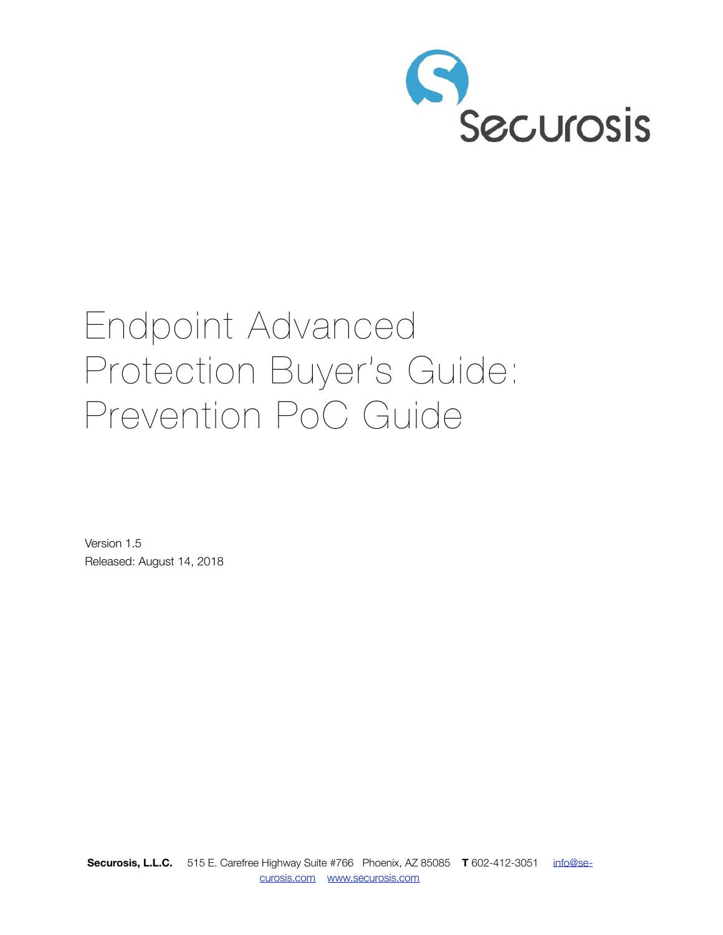

# Endpoint Advanced Protection Buyer's Guide: Prevention PoC Guide

Version 1.5 Released: August 14, 2018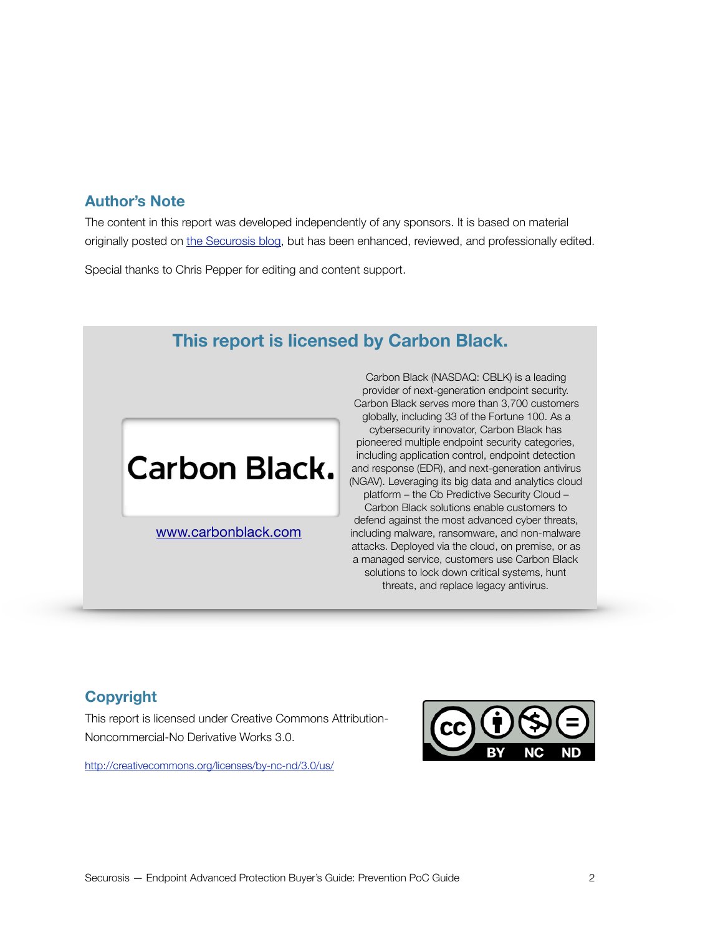### **Author's Note**

The content in this report was developed independently of any sponsors. It is based on material originally posted on [the Securosis blog,](http://livepage.apple.com/) but has been enhanced, reviewed, and professionally edited.

Special thanks to Chris Pepper for editing and content support.

### **This report is licensed by Carbon Black.**

### **Carbon Black.**

[www.carbonblack.com](http://www.carbonblack.com)

Carbon Black (NASDAQ: CBLK) is a leading provider of next-generation endpoint security. Carbon Black serves more than 3,700 customers globally, including 33 of the Fortune 100. As a cybersecurity innovator, Carbon Black has pioneered multiple endpoint security categories, including application control, endpoint detection and response (EDR), and next-generation antivirus (NGAV). Leveraging its big data and analytics cloud platform – the Cb Predictive Security Cloud – Carbon Black solutions enable customers to defend against the most advanced cyber threats, including malware, ransomware, and non-malware attacks. Deployed via the cloud, on premise, or as a managed service, customers use Carbon Black solutions to lock down critical systems, hunt threats, and replace legacy antivirus.

### **Copyright**

This report is licensed under Creative Commons Attribution-Noncommercial-No Derivative Works 3.0.

<http://creativecommons.org/licenses/by-nc-nd/3.0/us/>

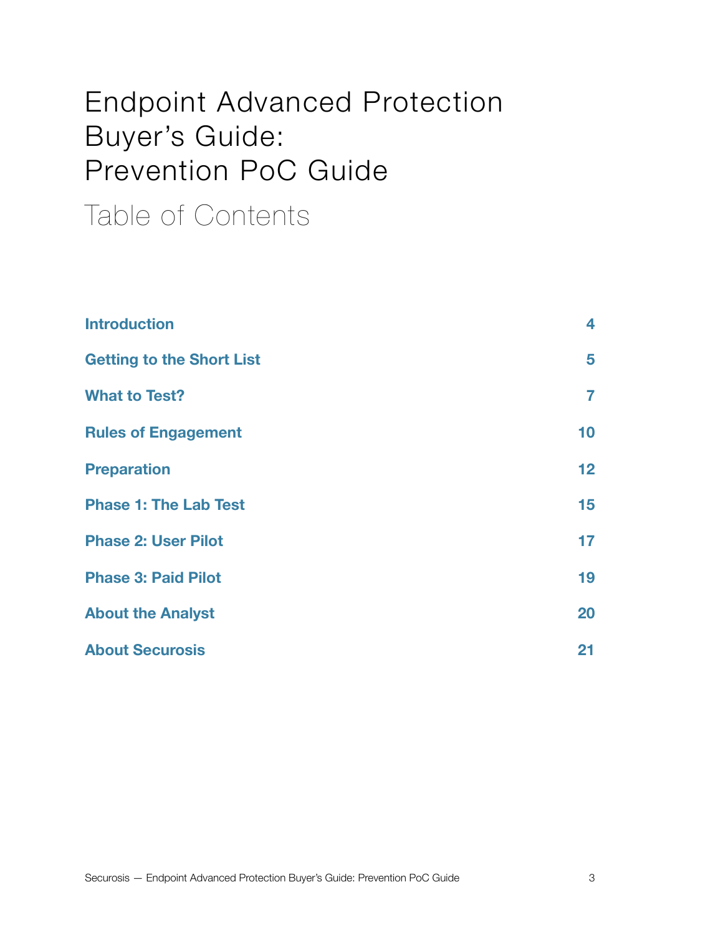### Endpoint Advanced Protection Buyer's Guide: Prevention PoC Guide

### Table of Contents

| <b>Introduction</b>              | 4               |
|----------------------------------|-----------------|
| <b>Getting to the Short List</b> | 5               |
| <b>What to Test?</b>             | 7               |
| <b>Rules of Engagement</b>       | 10 <sub>1</sub> |
| <b>Preparation</b>               | 12 <sub>2</sub> |
| <b>Phase 1: The Lab Test</b>     | 15              |
| <b>Phase 2: User Pilot</b>       | 17              |
| <b>Phase 3: Paid Pilot</b>       | 19              |
| <b>About the Analyst</b>         | 20              |
| <b>About Securosis</b>           | 21              |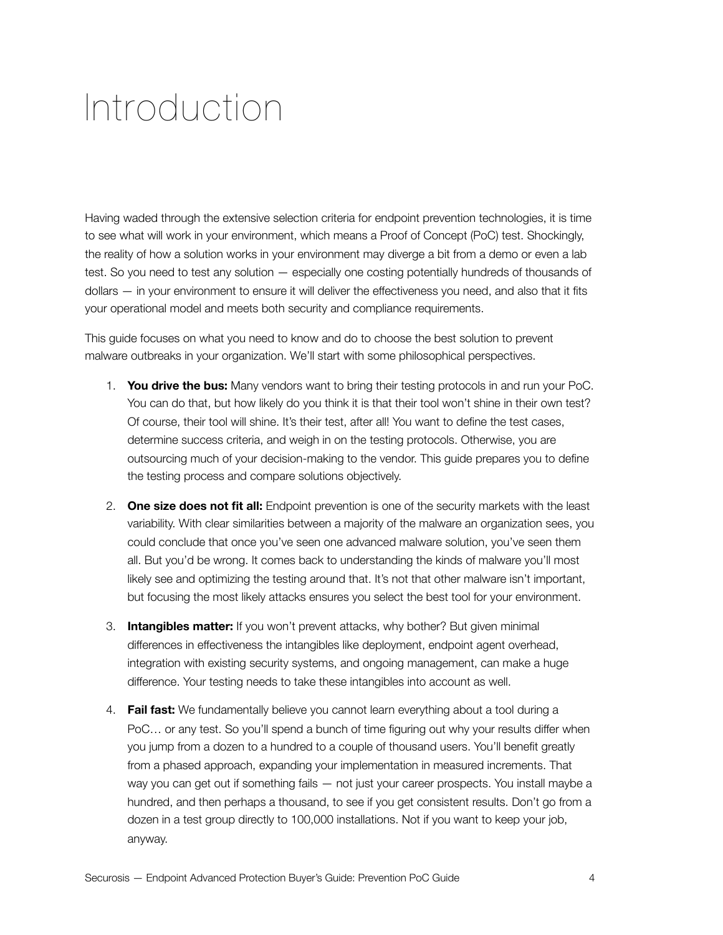### <span id="page-3-0"></span>Introduction

Having waded through the extensive selection criteria for endpoint prevention technologies, it is time to see what will work in your environment, which means a Proof of Concept (PoC) test. Shockingly, the reality of how a solution works in your environment may diverge a bit from a demo or even a lab test. So you need to test any solution — especially one costing potentially hundreds of thousands of dollars — in your environment to ensure it will deliver the effectiveness you need, and also that it fits your operational model and meets both security and compliance requirements.

This guide focuses on what you need to know and do to choose the best solution to prevent malware outbreaks in your organization. We'll start with some philosophical perspectives.

- 1. **You drive the bus:** Many vendors want to bring their testing protocols in and run your PoC. You can do that, but how likely do you think it is that their tool won't shine in their own test? Of course, their tool will shine. It's their test, after all! You want to define the test cases, determine success criteria, and weigh in on the testing protocols. Otherwise, you are outsourcing much of your decision-making to the vendor. This guide prepares you to define the testing process and compare solutions objectively.
- 2. **One size does not fit all:** Endpoint prevention is one of the security markets with the least variability. With clear similarities between a majority of the malware an organization sees, you could conclude that once you've seen one advanced malware solution, you've seen them all. But you'd be wrong. It comes back to understanding the kinds of malware you'll most likely see and optimizing the testing around that. It's not that other malware isn't important, but focusing the most likely attacks ensures you select the best tool for your environment.
- 3. **Intangibles matter:** If you won't prevent attacks, why bother? But given minimal differences in effectiveness the intangibles like deployment, endpoint agent overhead, integration with existing security systems, and ongoing management, can make a huge difference. Your testing needs to take these intangibles into account as well.
- 4. **Fail fast:** We fundamentally believe you cannot learn everything about a tool during a PoC… or any test. So you'll spend a bunch of time figuring out why your results differ when you jump from a dozen to a hundred to a couple of thousand users. You'll benefit greatly from a phased approach, expanding your implementation in measured increments. That way you can get out if something fails — not just your career prospects. You install maybe a hundred, and then perhaps a thousand, to see if you get consistent results. Don't go from a dozen in a test group directly to 100,000 installations. Not if you want to keep your job, anyway.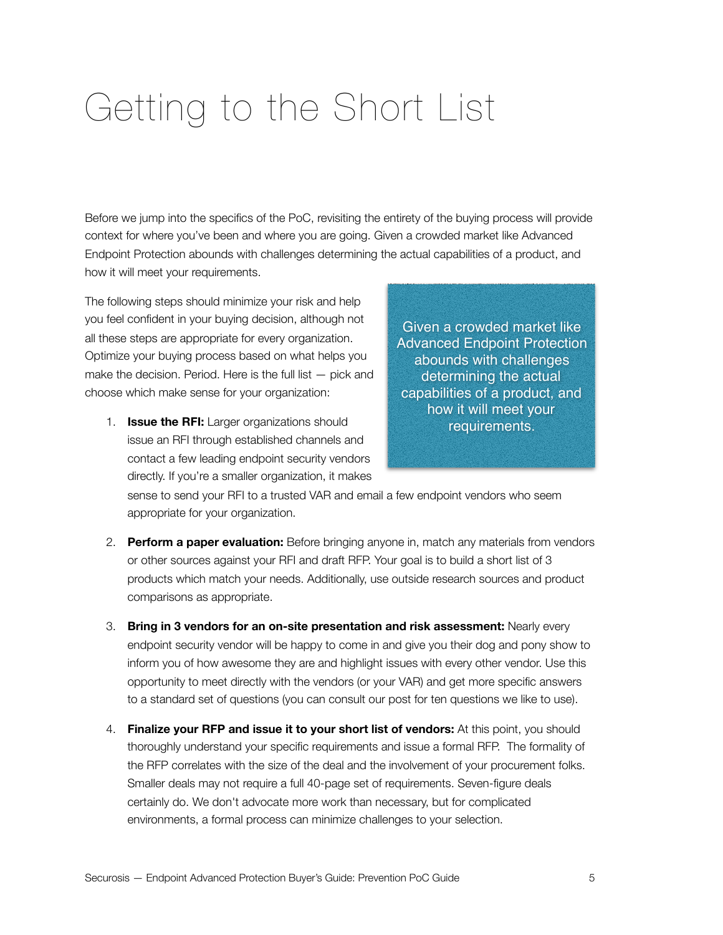# <span id="page-4-0"></span>Getting to the Short List

Before we jump into the specifics of the PoC, revisiting the entirety of the buying process will provide context for where you've been and where you are going. Given a crowded market like Advanced Endpoint Protection abounds with challenges determining the actual capabilities of a product, and how it will meet your requirements.

The following steps should minimize your risk and help you feel confident in your buying decision, although not all these steps are appropriate for every organization. Optimize your buying process based on what helps you make the decision. Period. Here is the full list  $-$  pick and choose which make sense for your organization:

1. **Issue the RFI:** Larger organizations should issue an RFI through established channels and contact a few leading endpoint security vendors directly. If you're a smaller organization, it makes

Given a crowded market like Advanced Endpoint Protection abounds with challenges determining the actual capabilities of a product, and how it will meet your requirements.

sense to send your RFI to a trusted VAR and email a few endpoint vendors who seem appropriate for your organization.

- 2. **Perform a paper evaluation:** Before bringing anyone in, match any materials from vendors or other sources against your RFI and draft RFP. Your goal is to build a short list of 3 products which match your needs. Additionally, use outside research sources and product comparisons as appropriate.
- 3. **Bring in 3 vendors for an on-site presentation and risk assessment:** Nearly every endpoint security vendor will be happy to come in and give you their dog and pony show to inform you of how awesome they are and highlight issues with every other vendor. Use this opportunity to meet directly with the vendors (or your VAR) and get more specific answers to a standard set of questions (you can consult our post for ten questions we like to use).
- 4. **Finalize your RFP and issue it to your short list of vendors:** At this point, you should thoroughly understand your specific requirements and issue a formal RFP. The formality of the RFP correlates with the size of the deal and the involvement of your procurement folks. Smaller deals may not require a full 40-page set of requirements. Seven-figure deals certainly do. We don't advocate more work than necessary, but for complicated environments, a formal process can minimize challenges to your selection.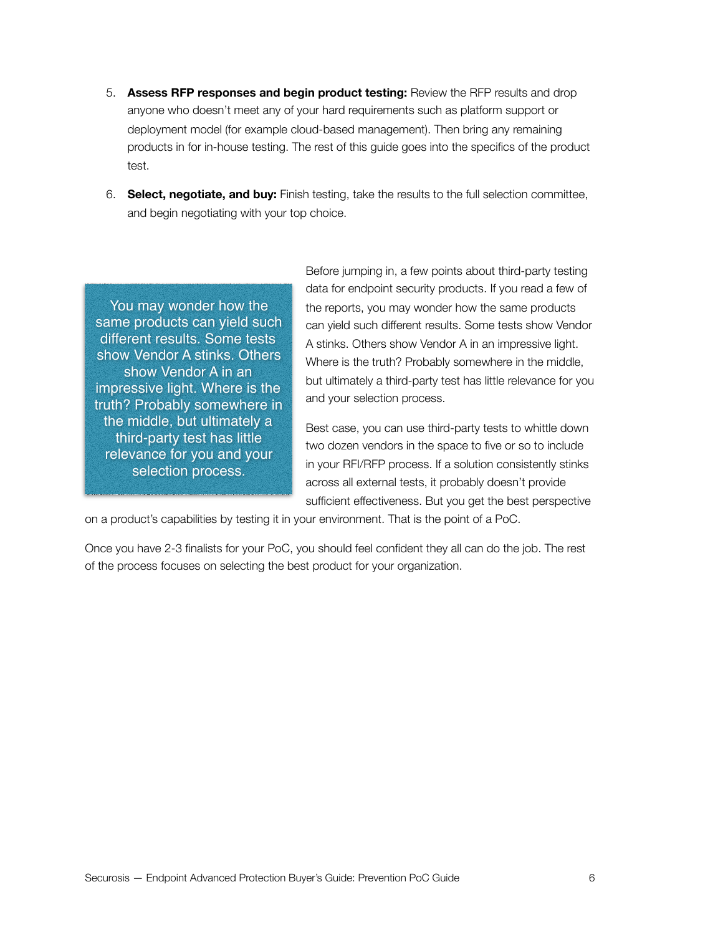- 5. **Assess RFP responses and begin product testing:** Review the RFP results and drop anyone who doesn't meet any of your hard requirements such as platform support or deployment model (for example cloud-based management). Then bring any remaining products in for in-house testing. The rest of this guide goes into the specifics of the product test.
- 6. **Select, negotiate, and buy:** Finish testing, take the results to the full selection committee, and begin negotiating with your top choice.

You may wonder how the same products can yield such different results. Some tests show Vendor A stinks. Others show Vendor A in an impressive light. Where is the truth? Probably somewhere in the middle, but ultimately a third-party test has little relevance for you and your selection process.

Before jumping in, a few points about third-party testing data for endpoint security products. If you read a few of the reports, you may wonder how the same products can yield such different results. Some tests show Vendor A stinks. Others show Vendor A in an impressive light. Where is the truth? Probably somewhere in the middle, but ultimately a third-party test has little relevance for you and your selection process.

Best case, you can use third-party tests to whittle down two dozen vendors in the space to five or so to include in your RFI/RFP process. If a solution consistently stinks across all external tests, it probably doesn't provide sufficient effectiveness. But you get the best perspective

on a product's capabilities by testing it in your environment. That is the point of a PoC.

Once you have 2-3 finalists for your PoC, you should feel confident they all can do the job. The rest of the process focuses on selecting the best product for your organization.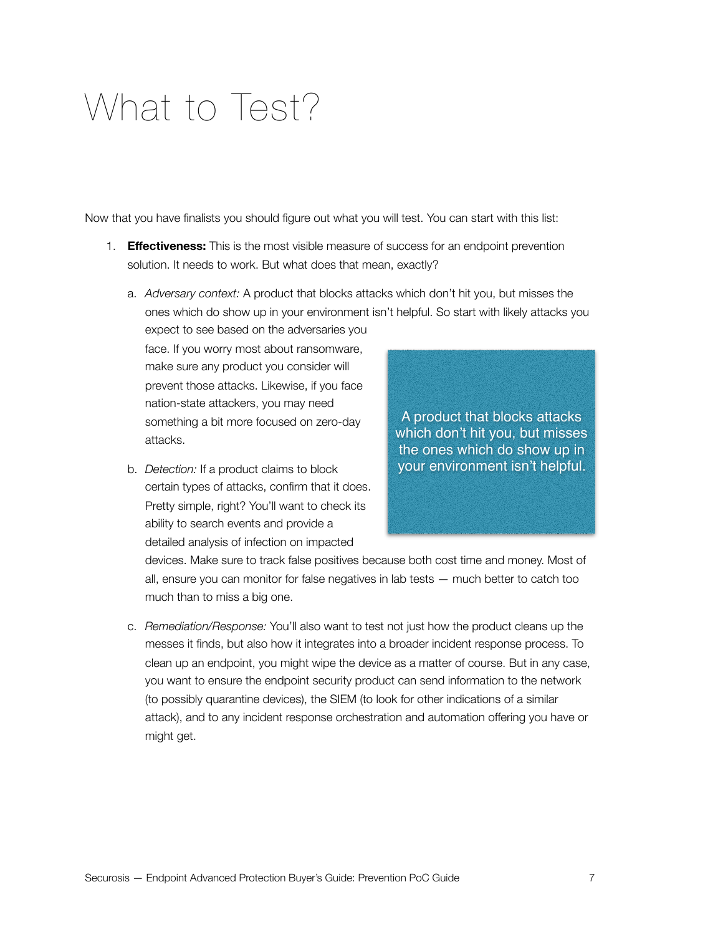### <span id="page-6-0"></span>What to Test?

Now that you have finalists you should figure out what you will test. You can start with this list:

- 1. **Effectiveness:** This is the most visible measure of success for an endpoint prevention solution. It needs to work. But what does that mean, exactly?
	- a. *Adversary context:* A product that blocks attacks which don't hit you, but misses the ones which do show up in your environment isn't helpful. So start with likely attacks you

expect to see based on the adversaries you face. If you worry most about ransomware, make sure any product you consider will prevent those attacks. Likewise, if you face nation-state attackers, you may need something a bit more focused on zero-day attacks.

b. *Detection:* If a product claims to block certain types of attacks, confirm that it does. Pretty simple, right? You'll want to check its ability to search events and provide a detailed analysis of infection on impacted

A product that blocks attacks which don't hit you, but misses the ones which do show up in your environment isn't helpful.

devices. Make sure to track false positives because both cost time and money. Most of all, ensure you can monitor for false negatives in lab tests — much better to catch too much than to miss a big one.

c. *Remediation/Response:* You'll also want to test not just how the product cleans up the messes it finds, but also how it integrates into a broader incident response process. To clean up an endpoint, you might wipe the device as a matter of course. But in any case, you want to ensure the endpoint security product can send information to the network (to possibly quarantine devices), the SIEM (to look for other indications of a similar attack), and to any incident response orchestration and automation offering you have or might get.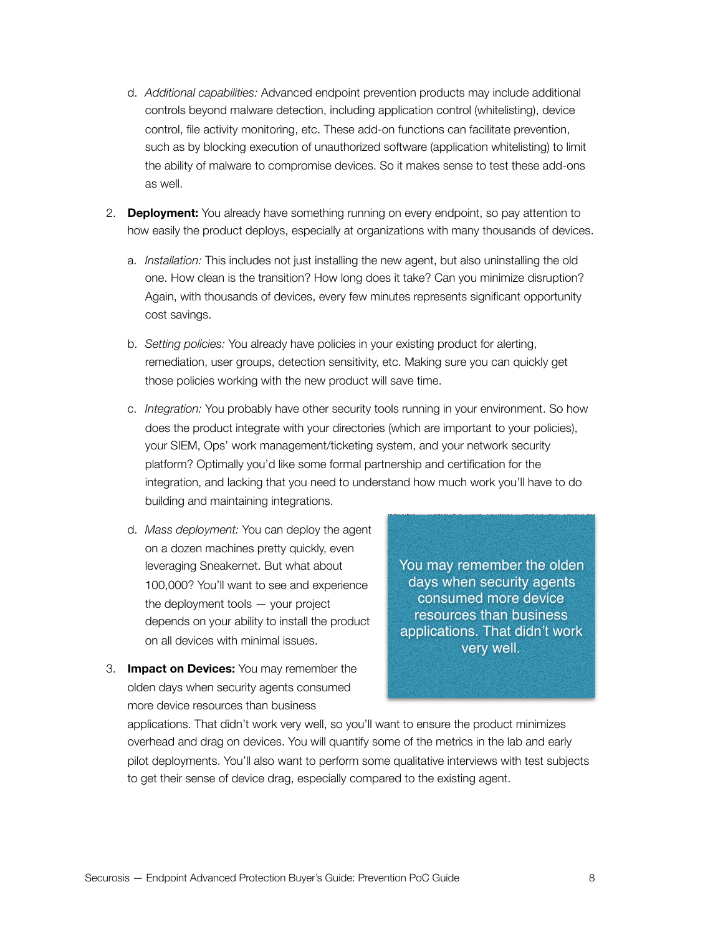- d. *Additional capabilities:* Advanced endpoint prevention products may include additional controls beyond malware detection, including application control (whitelisting), device control, file activity monitoring, etc. These add-on functions can facilitate prevention, such as by blocking execution of unauthorized software (application whitelisting) to limit the ability of malware to compromise devices. So it makes sense to test these add-ons as well.
- 2. **Deployment:** You already have something running on every endpoint, so pay attention to how easily the product deploys, especially at organizations with many thousands of devices.
	- a. *Installation:* This includes not just installing the new agent, but also uninstalling the old one. How clean is the transition? How long does it take? Can you minimize disruption? Again, with thousands of devices, every few minutes represents significant opportunity cost savings.
	- b. *Setting policies:* You already have policies in your existing product for alerting, remediation, user groups, detection sensitivity, etc. Making sure you can quickly get those policies working with the new product will save time.
	- c. *Integration:* You probably have other security tools running in your environment. So how does the product integrate with your directories (which are important to your policies), your SIEM, Ops' work management/ticketing system, and your network security platform? Optimally you'd like some formal partnership and certification for the integration, and lacking that you need to understand how much work you'll have to do building and maintaining integrations.
	- d. *Mass deployment:* You can deploy the agent on a dozen machines pretty quickly, even leveraging Sneakernet. But what about 100,000? You'll want to see and experience the deployment tools — your project depends on your ability to install the product on all devices with minimal issues.
- You may remember the olden days when security agents consumed more device resources than business applications. That didn't work very well.
- 3. **Impact on Devices:** You may remember the olden days when security agents consumed more device resources than business

applications. That didn't work very well, so you'll want to ensure the product minimizes overhead and drag on devices. You will quantify some of the metrics in the lab and early pilot deployments. You'll also want to perform some qualitative interviews with test subjects to get their sense of device drag, especially compared to the existing agent.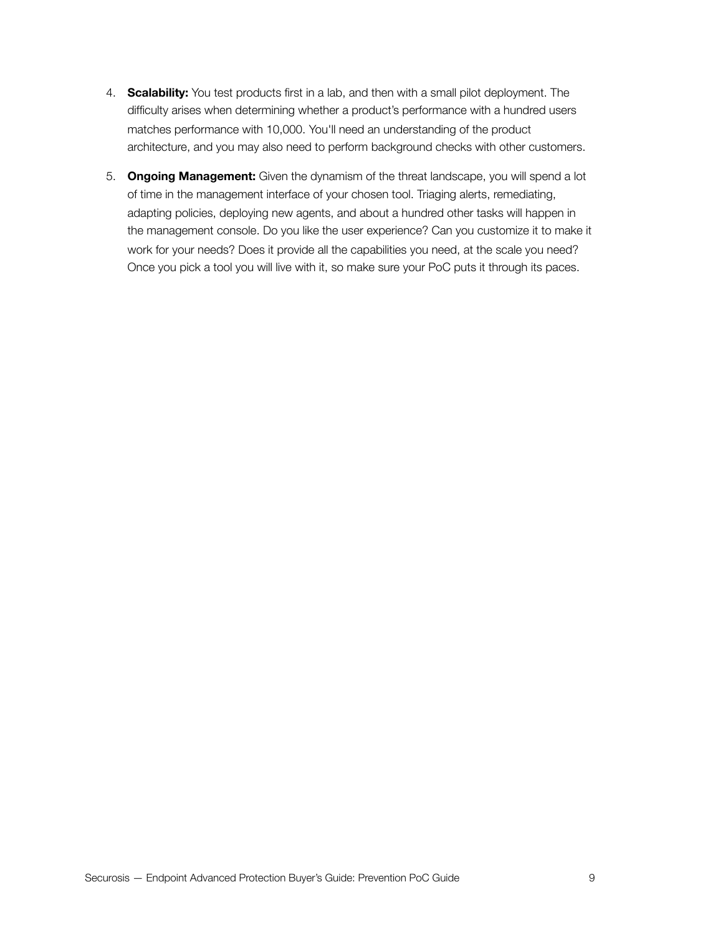- 4. **Scalability:** You test products first in a lab, and then with a small pilot deployment. The difficulty arises when determining whether a product's performance with a hundred users matches performance with 10,000. You'll need an understanding of the product architecture, and you may also need to perform background checks with other customers.
- 5. **Ongoing Management:** Given the dynamism of the threat landscape, you will spend a lot of time in the management interface of your chosen tool. Triaging alerts, remediating, adapting policies, deploying new agents, and about a hundred other tasks will happen in the management console. Do you like the user experience? Can you customize it to make it work for your needs? Does it provide all the capabilities you need, at the scale you need? Once you pick a tool you will live with it, so make sure your PoC puts it through its paces.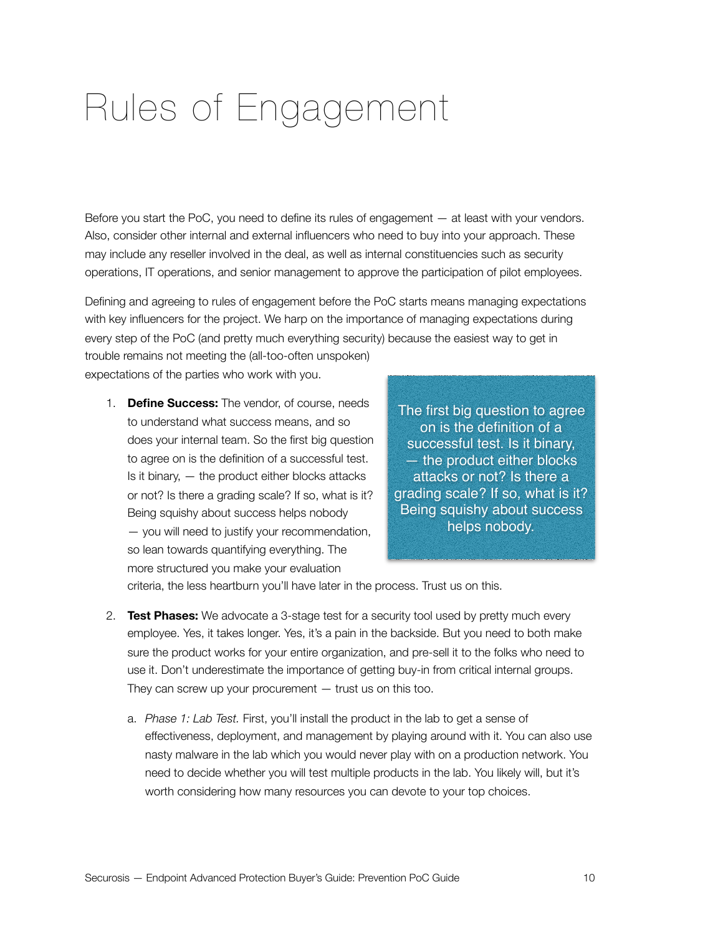## <span id="page-9-0"></span>Rules of Engagement

Before you start the PoC, you need to define its rules of engagement — at least with your vendors. Also, consider other internal and external influencers who need to buy into your approach. These may include any reseller involved in the deal, as well as internal constituencies such as security operations, IT operations, and senior management to approve the participation of pilot employees.

Defining and agreeing to rules of engagement before the PoC starts means managing expectations with key influencers for the project. We harp on the importance of managing expectations during every step of the PoC (and pretty much everything security) because the easiest way to get in trouble remains not meeting the (all-too-often unspoken)

expectations of the parties who work with you.

1. **Define Success:** The vendor, of course, needs to understand what success means, and so does your internal team. So the first big question to agree on is the definition of a successful test. Is it binary, — the product either blocks attacks or not? Is there a grading scale? If so, what is it? Being squishy about success helps nobody — you will need to justify your recommendation, so lean towards quantifying everything. The more structured you make your evaluation

The first big question to agree on is the definition of a successful test. Is it binary, — the product either blocks attacks or not? Is there a grading scale? If so, what is it? Being squishy about success helps nobody.

criteria, the less heartburn you'll have later in the process. Trust us on this.

- 2. **Test Phases:** We advocate a 3-stage test for a security tool used by pretty much every employee. Yes, it takes longer. Yes, it's a pain in the backside. But you need to both make sure the product works for your entire organization, and pre-sell it to the folks who need to use it. Don't underestimate the importance of getting buy-in from critical internal groups. They can screw up your procurement  $-$  trust us on this too.
	- a. *Phase 1: Lab Test.* First, you'll install the product in the lab to get a sense of effectiveness, deployment, and management by playing around with it. You can also use nasty malware in the lab which you would never play with on a production network. You need to decide whether you will test multiple products in the lab. You likely will, but it's worth considering how many resources you can devote to your top choices.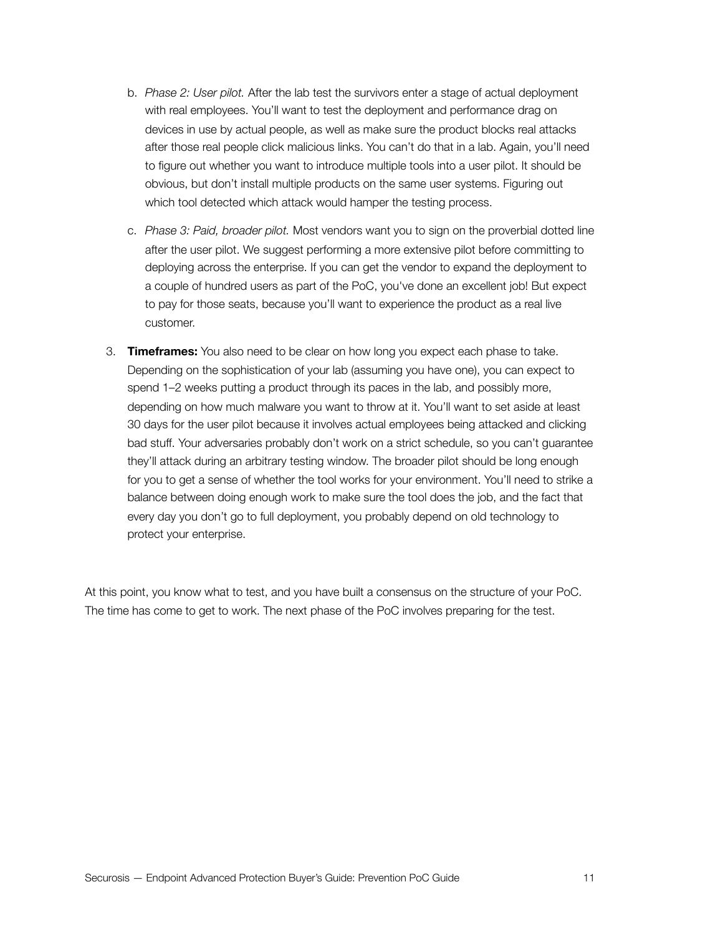- b. *Phase 2: User pilot.* After the lab test the survivors enter a stage of actual deployment with real employees. You'll want to test the deployment and performance drag on devices in use by actual people, as well as make sure the product blocks real attacks after those real people click malicious links. You can't do that in a lab. Again, you'll need to figure out whether you want to introduce multiple tools into a user pilot. It should be obvious, but don't install multiple products on the same user systems. Figuring out which tool detected which attack would hamper the testing process.
- c. *Phase 3: Paid, broader pilot.* Most vendors want you to sign on the proverbial dotted line after the user pilot. We suggest performing a more extensive pilot before committing to deploying across the enterprise. If you can get the vendor to expand the deployment to a couple of hundred users as part of the PoC, you've done an excellent job! But expect to pay for those seats, because you'll want to experience the product as a real live customer.
- 3. **Timeframes:** You also need to be clear on how long you expect each phase to take. Depending on the sophistication of your lab (assuming you have one), you can expect to spend 1–2 weeks putting a product through its paces in the lab, and possibly more, depending on how much malware you want to throw at it. You'll want to set aside at least 30 days for the user pilot because it involves actual employees being attacked and clicking bad stuff. Your adversaries probably don't work on a strict schedule, so you can't guarantee they'll attack during an arbitrary testing window. The broader pilot should be long enough for you to get a sense of whether the tool works for your environment. You'll need to strike a balance between doing enough work to make sure the tool does the job, and the fact that every day you don't go to full deployment, you probably depend on old technology to protect your enterprise.

At this point, you know what to test, and you have built a consensus on the structure of your PoC. The time has come to get to work. The next phase of the PoC involves preparing for the test.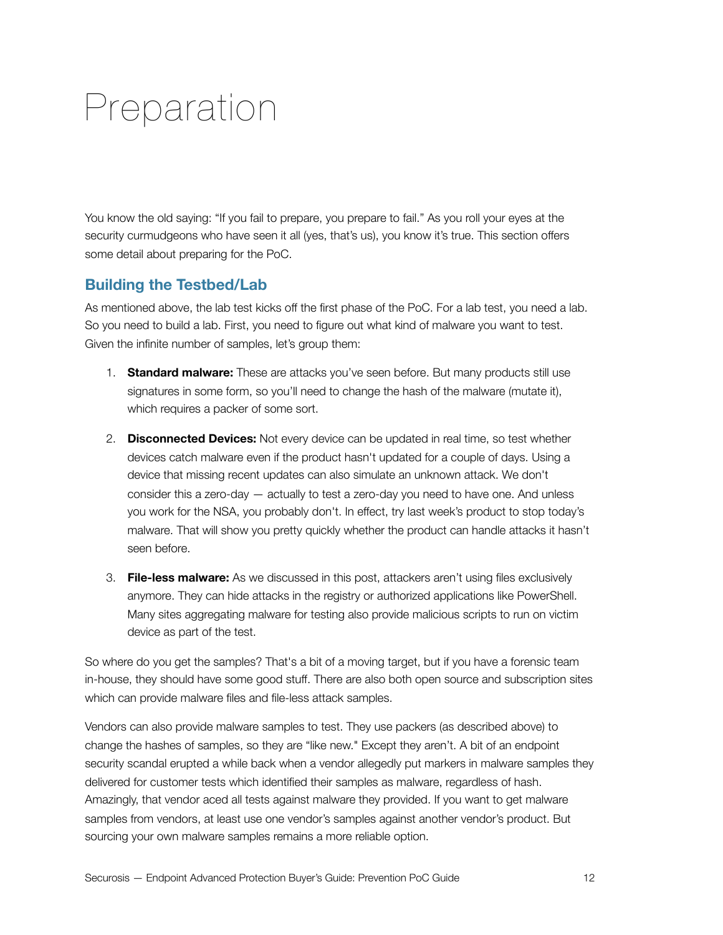## <span id="page-11-0"></span>Preparation

You know the old saying: "If you fail to prepare, you prepare to fail." As you roll your eyes at the security curmudgeons who have seen it all (yes, that's us), you know it's true. This section offers some detail about preparing for the PoC.

#### **Building the Testbed/Lab**

As mentioned above, the lab test kicks off the first phase of the PoC. For a lab test, you need a lab. So you need to build a lab. First, you need to figure out what kind of malware you want to test. Given the infinite number of samples, let's group them:

- 1. **Standard malware:** These are attacks you've seen before. But many products still use signatures in some form, so you'll need to change the hash of the malware (mutate it), which requires a packer of some sort.
- 2. **Disconnected Devices:** Not every device can be updated in real time, so test whether devices catch malware even if the product hasn't updated for a couple of days. Using a device that missing recent updates can also simulate an unknown attack. We don't consider this a zero-day — actually to test a zero-day you need to have one. And unless you work for the NSA, you probably don't. In effect, try last week's product to stop today's malware. That will show you pretty quickly whether the product can handle attacks it hasn't seen before.
- 3. **File-less malware:** As we discussed in this post, attackers aren't using files exclusively anymore. They can hide attacks in the registry or authorized applications like PowerShell. Many sites aggregating malware for testing also provide malicious scripts to run on victim device as part of the test.

So where do you get the samples? That's a bit of a moving target, but if you have a forensic team in-house, they should have some good stuff. There are also both open source and subscription sites which can provide malware files and file-less attack samples.

Vendors can also provide malware samples to test. They use packers (as described above) to change the hashes of samples, so they are "like new." Except they aren't. A bit of an endpoint security scandal erupted a while back when a vendor allegedly put markers in malware samples they delivered for customer tests which identified their samples as malware, regardless of hash. Amazingly, that vendor aced all tests against malware they provided. If you want to get malware samples from vendors, at least use one vendor's samples against another vendor's product. But sourcing your own malware samples remains a more reliable option.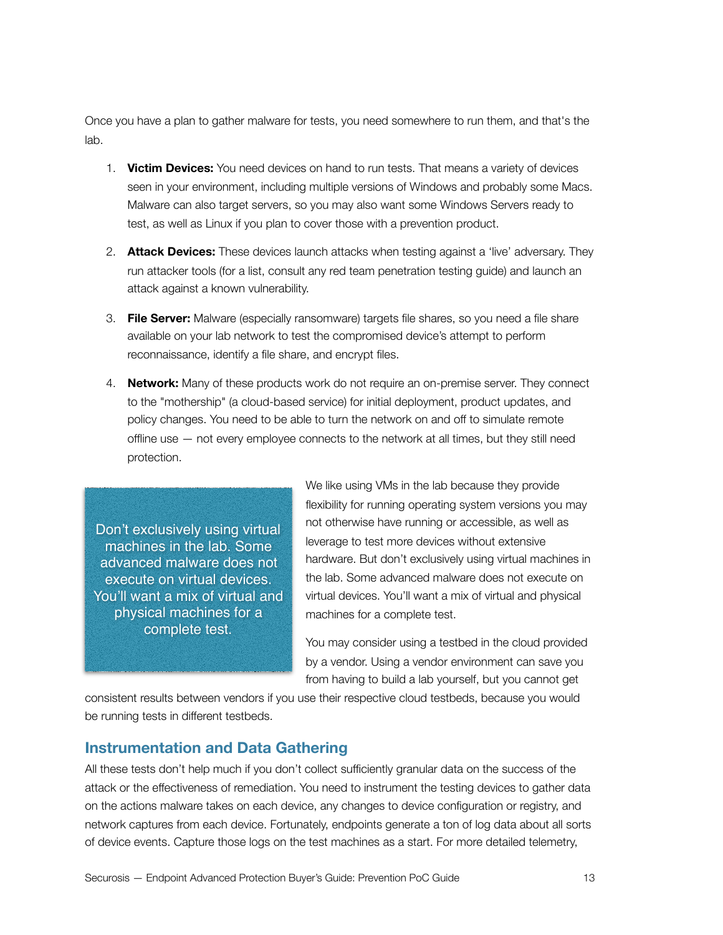Once you have a plan to gather malware for tests, you need somewhere to run them, and that's the lab.

- 1. **Victim Devices:** You need devices on hand to run tests. That means a variety of devices seen in your environment, including multiple versions of Windows and probably some Macs. Malware can also target servers, so you may also want some Windows Servers ready to test, as well as Linux if you plan to cover those with a prevention product.
- 2. **Attack Devices:** These devices launch attacks when testing against a 'live' adversary. They run attacker tools (for a list, consult any red team penetration testing guide) and launch an attack against a known vulnerability.
- 3. **File Server:** Malware (especially ransomware) targets file shares, so you need a file share available on your lab network to test the compromised device's attempt to perform reconnaissance, identify a file share, and encrypt files.
- 4. **Network:** Many of these products work do not require an on-premise server. They connect to the "mothership" (a cloud-based service) for initial deployment, product updates, and policy changes. You need to be able to turn the network on and off to simulate remote offline use — not every employee connects to the network at all times, but they still need protection.

Don't exclusively using virtual machines in the lab. Some advanced malware does not execute on virtual devices. You'll want a mix of virtual and physical machines for a complete test.

We like using VMs in the lab because they provide flexibility for running operating system versions you may not otherwise have running or accessible, as well as leverage to test more devices without extensive hardware. But don't exclusively using virtual machines in the lab. Some advanced malware does not execute on virtual devices. You'll want a mix of virtual and physical machines for a complete test.

You may consider using a testbed in the cloud provided by a vendor. Using a vendor environment can save you from having to build a lab yourself, but you cannot get

consistent results between vendors if you use their respective cloud testbeds, because you would be running tests in different testbeds.

#### **Instrumentation and Data Gathering**

All these tests don't help much if you don't collect sufficiently granular data on the success of the attack or the effectiveness of remediation. You need to instrument the testing devices to gather data on the actions malware takes on each device, any changes to device configuration or registry, and network captures from each device. Fortunately, endpoints generate a ton of log data about all sorts of device events. Capture those logs on the test machines as a start. For more detailed telemetry,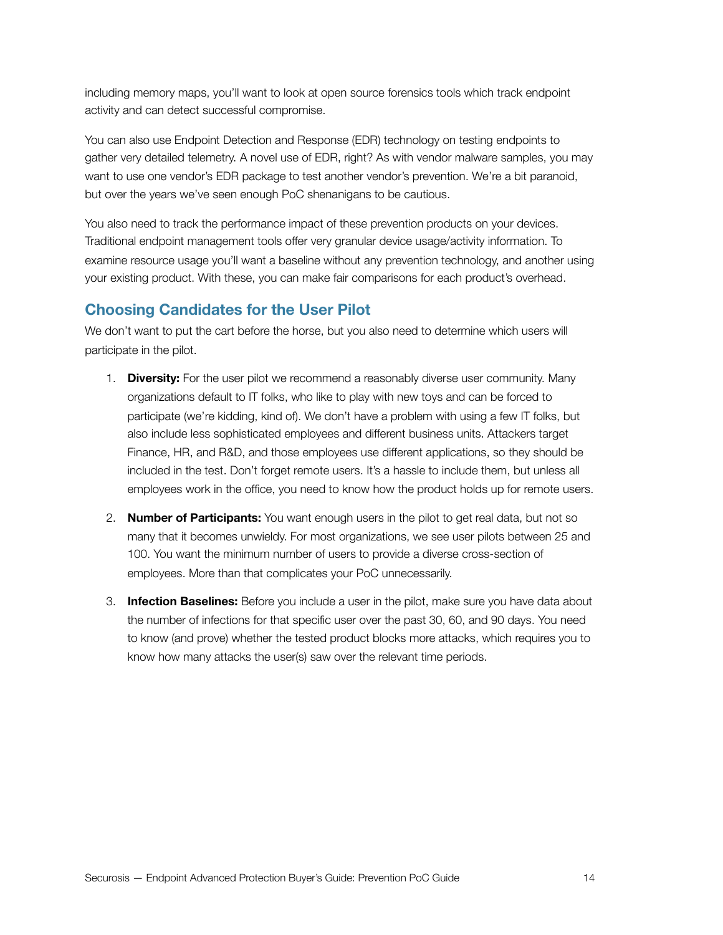including memory maps, you'll want to look at open source forensics tools which track endpoint activity and can detect successful compromise.

You can also use Endpoint Detection and Response (EDR) technology on testing endpoints to gather very detailed telemetry. A novel use of EDR, right? As with vendor malware samples, you may want to use one vendor's EDR package to test another vendor's prevention. We're a bit paranoid, but over the years we've seen enough PoC shenanigans to be cautious.

You also need to track the performance impact of these prevention products on your devices. Traditional endpoint management tools offer very granular device usage/activity information. To examine resource usage you'll want a baseline without any prevention technology, and another using your existing product. With these, you can make fair comparisons for each product's overhead.

### **Choosing Candidates for the User Pilot**

We don't want to put the cart before the horse, but you also need to determine which users will participate in the pilot.

- 1. **Diversity:** For the user pilot we recommend a reasonably diverse user community. Many organizations default to IT folks, who like to play with new toys and can be forced to participate (we're kidding, kind of). We don't have a problem with using a few IT folks, but also include less sophisticated employees and different business units. Attackers target Finance, HR, and R&D, and those employees use different applications, so they should be included in the test. Don't forget remote users. It's a hassle to include them, but unless all employees work in the office, you need to know how the product holds up for remote users.
- 2. **Number of Participants:** You want enough users in the pilot to get real data, but not so many that it becomes unwieldy. For most organizations, we see user pilots between 25 and 100. You want the minimum number of users to provide a diverse cross-section of employees. More than that complicates your PoC unnecessarily.
- 3. **Infection Baselines:** Before you include a user in the pilot, make sure you have data about the number of infections for that specific user over the past 30, 60, and 90 days. You need to know (and prove) whether the tested product blocks more attacks, which requires you to know how many attacks the user(s) saw over the relevant time periods.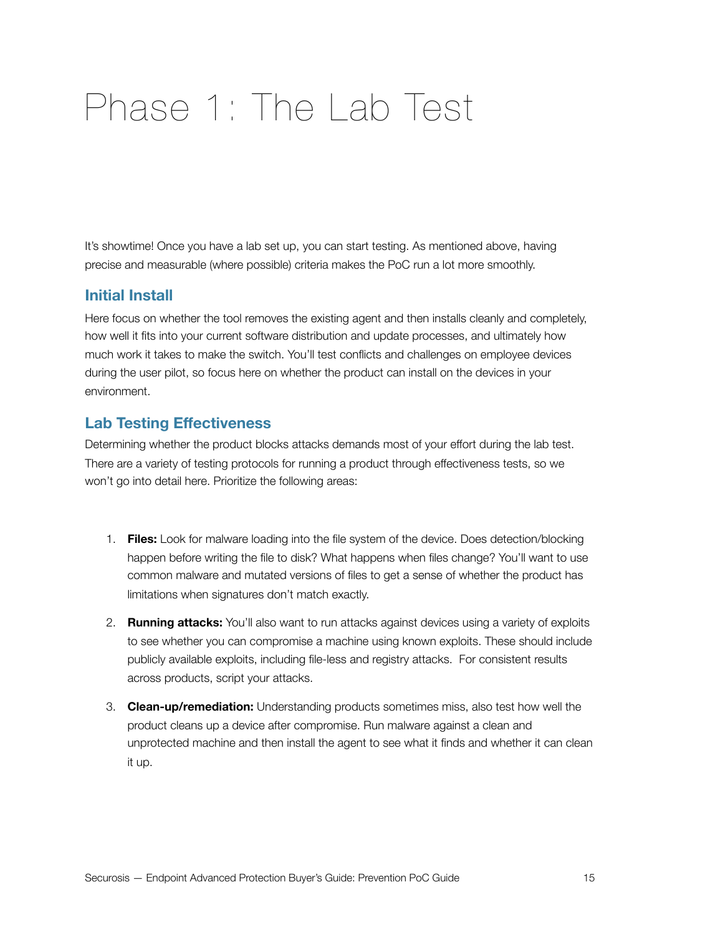## <span id="page-14-0"></span>Phase 1: The Lab Test

It's showtime! Once you have a lab set up, you can start testing. As mentioned above, having precise and measurable (where possible) criteria makes the PoC run a lot more smoothly.

#### **Initial Install**

Here focus on whether the tool removes the existing agent and then installs cleanly and completely, how well it fits into your current software distribution and update processes, and ultimately how much work it takes to make the switch. You'll test conflicts and challenges on employee devices during the user pilot, so focus here on whether the product can install on the devices in your environment.

#### **Lab Testing Effectiveness**

Determining whether the product blocks attacks demands most of your effort during the lab test. There are a variety of testing protocols for running a product through effectiveness tests, so we won't go into detail here. Prioritize the following areas:

- 1. **Files:** Look for malware loading into the file system of the device. Does detection/blocking happen before writing the file to disk? What happens when files change? You'll want to use common malware and mutated versions of files to get a sense of whether the product has limitations when signatures don't match exactly.
- 2. **Running attacks:** You'll also want to run attacks against devices using a variety of exploits to see whether you can compromise a machine using known exploits. These should include publicly available exploits, including file-less and registry attacks. For consistent results across products, script your attacks.
- 3. **Clean-up/remediation:** Understanding products sometimes miss, also test how well the product cleans up a device after compromise. Run malware against a clean and unprotected machine and then install the agent to see what it finds and whether it can clean it up.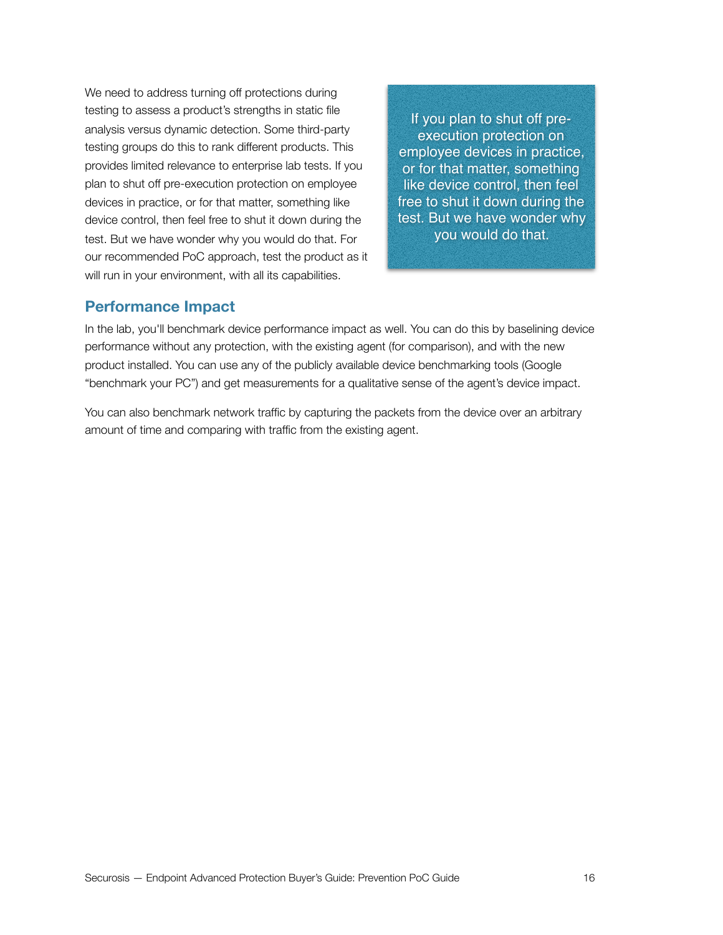We need to address turning off protections during testing to assess a product's strengths in static file analysis versus dynamic detection. Some third-party testing groups do this to rank different products. This provides limited relevance to enterprise lab tests. If you plan to shut off pre-execution protection on employee devices in practice, or for that matter, something like device control, then feel free to shut it down during the test. But we have wonder why you would do that. For our recommended PoC approach, test the product as it will run in your environment, with all its capabilities.

If you plan to shut off preexecution protection on employee devices in practice, or for that matter, something like device control, then feel free to shut it down during the test. But we have wonder why you would do that.

#### **Performance Impact**

In the lab, you'll benchmark device performance impact as well. You can do this by baselining device performance without any protection, with the existing agent (for comparison), and with the new product installed. You can use any of the publicly available device benchmarking tools (Google "benchmark your PC") and get measurements for a qualitative sense of the agent's device impact.

You can also benchmark network traffic by capturing the packets from the device over an arbitrary amount of time and comparing with traffic from the existing agent.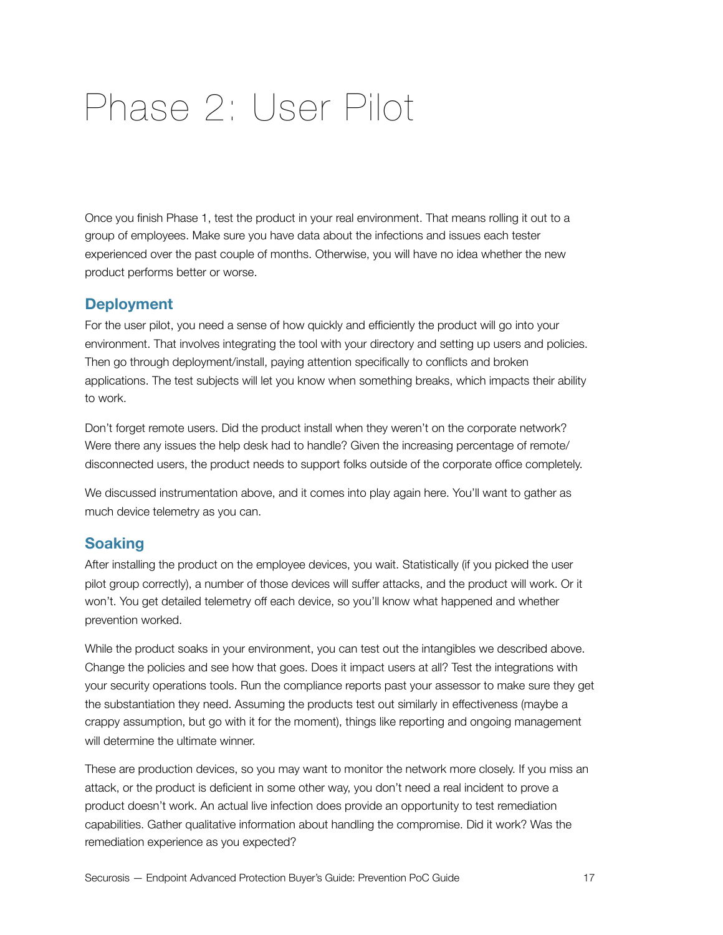## <span id="page-16-0"></span>Phase 2: User Pilot

Once you finish Phase 1, test the product in your real environment. That means rolling it out to a group of employees. Make sure you have data about the infections and issues each tester experienced over the past couple of months. Otherwise, you will have no idea whether the new product performs better or worse.

#### **Deployment**

For the user pilot, you need a sense of how quickly and efficiently the product will go into your environment. That involves integrating the tool with your directory and setting up users and policies. Then go through deployment/install, paying attention specifically to conflicts and broken applications. The test subjects will let you know when something breaks, which impacts their ability to work.

Don't forget remote users. Did the product install when they weren't on the corporate network? Were there any issues the help desk had to handle? Given the increasing percentage of remote/ disconnected users, the product needs to support folks outside of the corporate office completely.

We discussed instrumentation above, and it comes into play again here. You'll want to gather as much device telemetry as you can.

#### **Soaking**

After installing the product on the employee devices, you wait. Statistically (if you picked the user pilot group correctly), a number of those devices will suffer attacks, and the product will work. Or it won't. You get detailed telemetry off each device, so you'll know what happened and whether prevention worked.

While the product soaks in your environment, you can test out the intangibles we described above. Change the policies and see how that goes. Does it impact users at all? Test the integrations with your security operations tools. Run the compliance reports past your assessor to make sure they get the substantiation they need. Assuming the products test out similarly in effectiveness (maybe a crappy assumption, but go with it for the moment), things like reporting and ongoing management will determine the ultimate winner.

These are production devices, so you may want to monitor the network more closely. If you miss an attack, or the product is deficient in some other way, you don't need a real incident to prove a product doesn't work. An actual live infection does provide an opportunity to test remediation capabilities. Gather qualitative information about handling the compromise. Did it work? Was the remediation experience as you expected?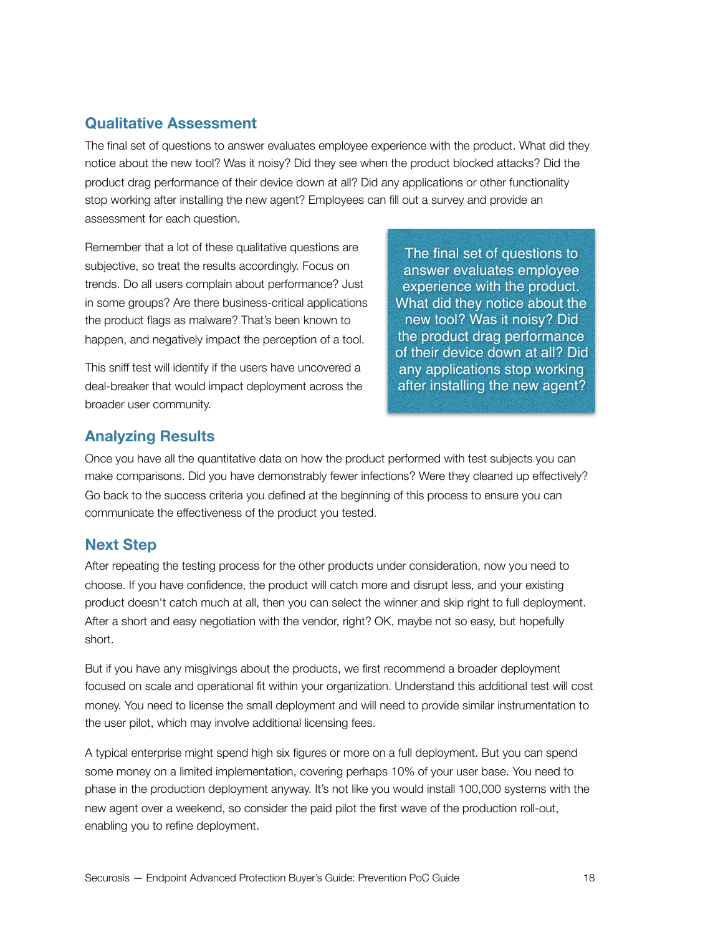### **Qualitative Assessment**

The final set of questions to answer evaluates employee experience with the product. What did they notice about the new tool? Was it noisy? Did they see when the product blocked attacks? Did the product drag performance of their device down at all? Did any applications or other functionality stop working after installing the new agent? Employees can fill out a survey and provide an assessment for each question.

Remember that a lot of these qualitative questions are subjective, so treat the results accordingly. Focus on trends. Do all users complain about performance? Just in some groups? Are there business-critical applications the product flags as malware? That's been known to happen, and negatively impact the perception of a tool.

This sniff test will identify if the users have uncovered a deal-breaker that would impact deployment across the broader user community.

The final set of questions to answer evaluates employee experience with the product. What did they notice about the new tool? Was it noisy? Did the product drag performance of their device down at all? Did any applications stop working after installing the new agent?

### **Analyzing Results**

Once you have all the quantitative data on how the product performed with test subjects you can make comparisons. Did you have demonstrably fewer infections? Were they cleaned up effectively? Go back to the success criteria you defined at the beginning of this process to ensure you can communicate the effectiveness of the product you tested.

### **Next Step**

After repeating the testing process for the other products under consideration, now you need to choose. If you have confidence, the product will catch more and disrupt less, and your existing product doesn't catch much at all, then you can select the winner and skip right to full deployment. After a short and easy negotiation with the vendor, right? OK, maybe not so easy, but hopefully short.

But if you have any misgivings about the products, we first recommend a broader deployment focused on scale and operational fit within your organization. Understand this additional test will cost money. You need to license the small deployment and will need to provide similar instrumentation to the user pilot, which may involve additional licensing fees.

A typical enterprise might spend high six figures or more on a full deployment. But you can spend some money on a limited implementation, covering perhaps 10% of your user base. You need to phase in the production deployment anyway. It's not like you would install 100,000 systems with the new agent over a weekend, so consider the paid pilot the first wave of the production roll-out, enabling you to refine deployment.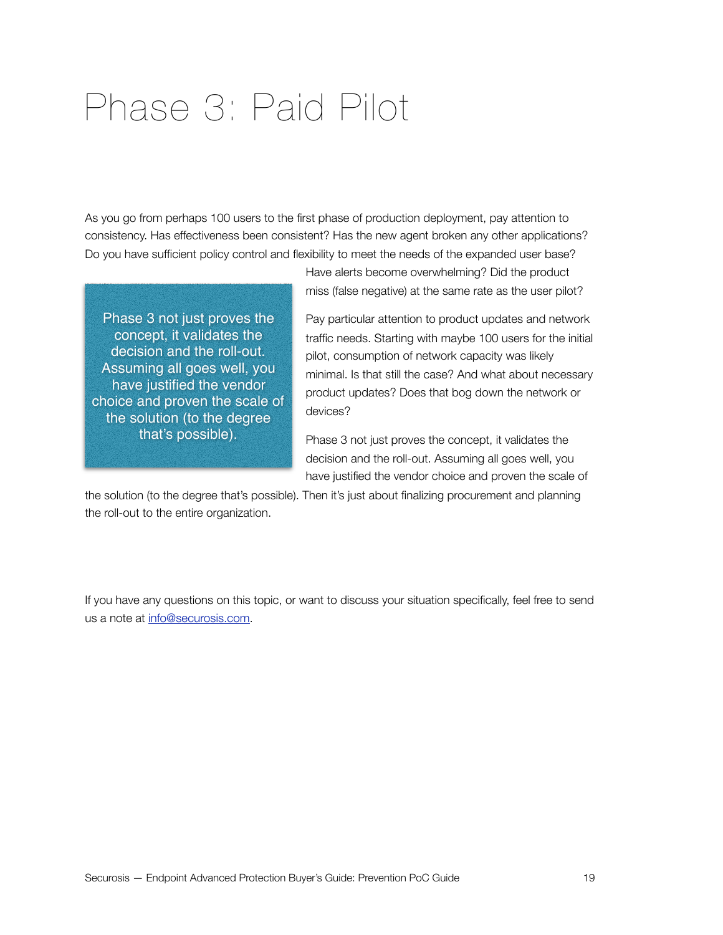### <span id="page-18-0"></span>Phase 3: Paid Pilot

As you go from perhaps 100 users to the first phase of production deployment, pay attention to consistency. Has effectiveness been consistent? Has the new agent broken any other applications? Do you have sufficient policy control and flexibility to meet the needs of the expanded user base?

Phase 3 not just proves the concept, it validates the decision and the roll-out. Assuming all goes well, you have justified the vendor choice and proven the scale of the solution (to the degree that's possible).

Have alerts become overwhelming? Did the product miss (false negative) at the same rate as the user pilot?

Pay particular attention to product updates and network traffic needs. Starting with maybe 100 users for the initial pilot, consumption of network capacity was likely minimal. Is that still the case? And what about necessary product updates? Does that bog down the network or devices?

Phase 3 not just proves the concept, it validates the decision and the roll-out. Assuming all goes well, you have justified the vendor choice and proven the scale of

the solution (to the degree that's possible). Then it's just about finalizing procurement and planning the roll-out to the entire organization.

If you have any questions on this topic, or want to discuss your situation specifically, feel free to send us a note at [info@securosis.com.](mailto:?subject=)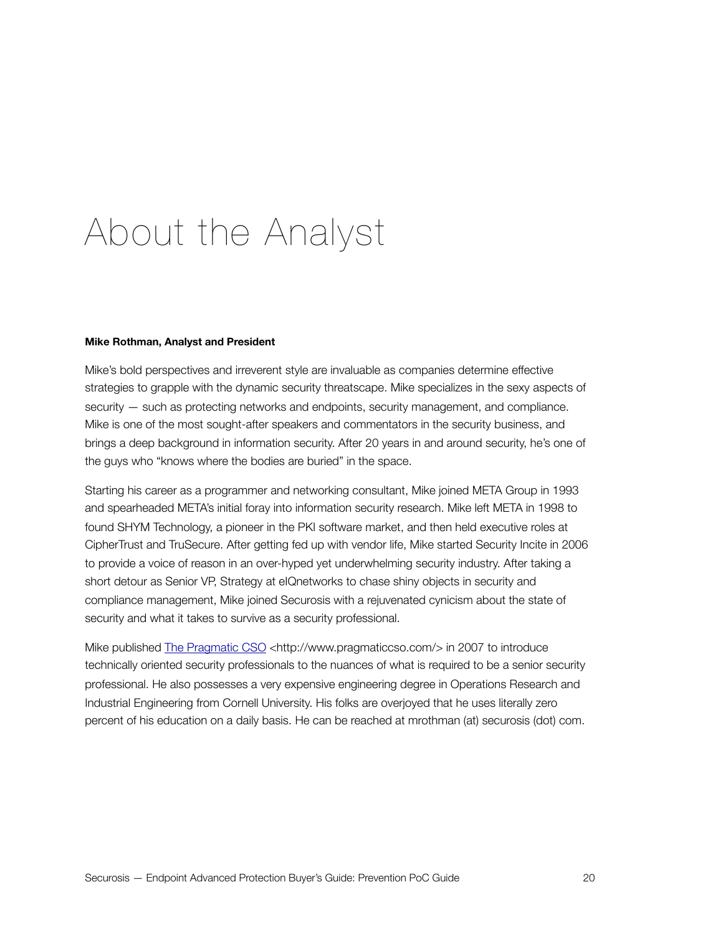### <span id="page-19-0"></span>About the Analyst

#### **Mike Rothman, Analyst and President**

Mike's bold perspectives and irreverent style are invaluable as companies determine effective strategies to grapple with the dynamic security threatscape. Mike specializes in the sexy aspects of security — such as protecting networks and endpoints, security management, and compliance. Mike is one of the most sought-after speakers and commentators in the security business, and brings a deep background in information security. After 20 years in and around security, he's one of the guys who "knows where the bodies are buried" in the space.

Starting his career as a programmer and networking consultant, Mike joined META Group in 1993 and spearheaded META's initial foray into information security research. Mike left META in 1998 to found SHYM Technology, a pioneer in the PKI software market, and then held executive roles at CipherTrust and TruSecure. After getting fed up with vendor life, Mike started Security Incite in 2006 to provide a voice of reason in an over-hyped yet underwhelming security industry. After taking a short detour as Senior VP, Strategy at eIQnetworks to chase shiny objects in security and compliance management, Mike joined Securosis with a rejuvenated cynicism about the state of security and what it takes to survive as a security professional.

Mike published [The Pragmatic CSO](http://www.pragmaticcso.com) [<http://www.pragmaticcso.com/](http://www.pragmaticcso.com/)> in 2007 to introduce technically oriented security professionals to the nuances of what is required to be a senior security professional. He also possesses a very expensive engineering degree in Operations Research and Industrial Engineering from Cornell University. His folks are overjoyed that he uses literally zero percent of his education on a daily basis. He can be reached at mrothman (at) securosis (dot) com.